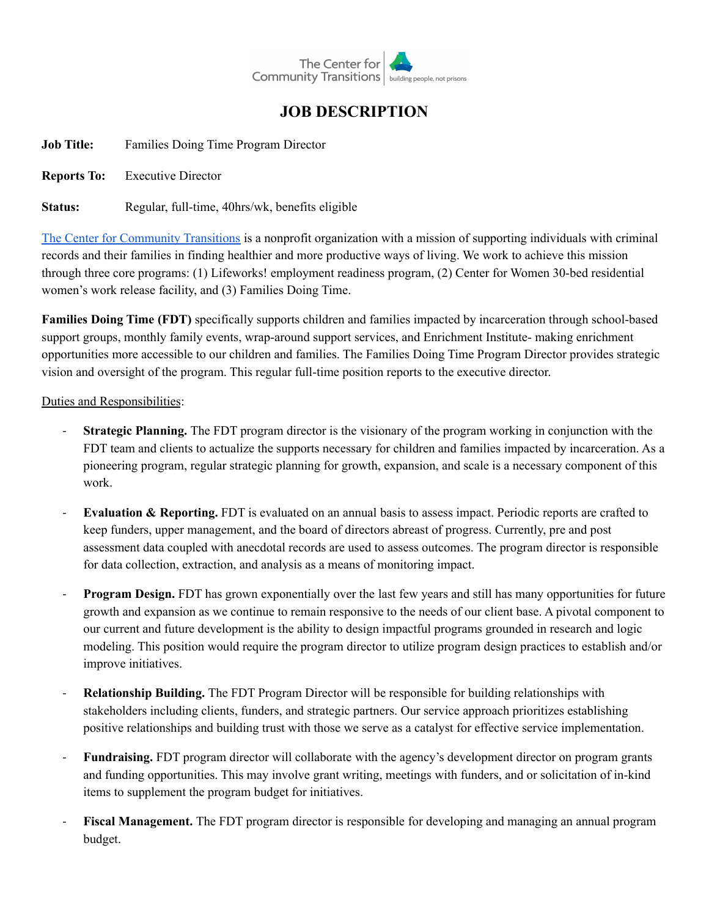

## **JOB DESCRIPTION**

**Job Title:** Families Doing Time Program Director

**Reports To:** Executive Director

**Status:** Regular, full-time, 40hrs/wk, benefits eligible

The Center for [Community](https://centerforcommunitytransitions.org/) Transitions is a nonprofit organization with a mission of supporting individuals with criminal records and their families in finding healthier and more productive ways of living. We work to achieve this mission through three core programs: (1) Lifeworks! employment readiness program, (2) Center for Women 30-bed residential women's work release facility, and (3) Families Doing Time.

**Families Doing Time (FDT)** specifically supports children and families impacted by incarceration through school-based support groups, monthly family events, wrap-around support services, and Enrichment Institute- making enrichment opportunities more accessible to our children and families. The Families Doing Time Program Director provides strategic vision and oversight of the program. This regular full-time position reports to the executive director.

## Duties and Responsibilities:

- **Strategic Planning.** The FDT program director is the visionary of the program working in conjunction with the FDT team and clients to actualize the supports necessary for children and families impacted by incarceration. As a pioneering program, regular strategic planning for growth, expansion, and scale is a necessary component of this work.
- **Evaluation & Reporting.** FDT is evaluated on an annual basis to assess impact. Periodic reports are crafted to keep funders, upper management, and the board of directors abreast of progress. Currently, pre and post assessment data coupled with anecdotal records are used to assess outcomes. The program director is responsible for data collection, extraction, and analysis as a means of monitoring impact.
- **Program Design.** FDT has grown exponentially over the last few years and still has many opportunities for future growth and expansion as we continue to remain responsive to the needs of our client base. A pivotal component to our current and future development is the ability to design impactful programs grounded in research and logic modeling. This position would require the program director to utilize program design practices to establish and/or improve initiatives.
- **Relationship Building.** The FDT Program Director will be responsible for building relationships with stakeholders including clients, funders, and strategic partners. Our service approach prioritizes establishing positive relationships and building trust with those we serve as a catalyst for effective service implementation.
- **Fundraising.** FDT program director will collaborate with the agency's development director on program grants and funding opportunities. This may involve grant writing, meetings with funders, and or solicitation of in-kind items to supplement the program budget for initiatives.
- **Fiscal Management.** The FDT program director is responsible for developing and managing an annual program budget.